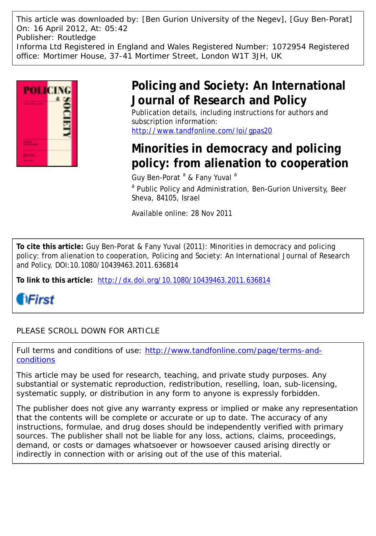This article was downloaded by: [Ben Gurion University of the Negev], [Guy Ben-Porat] On: 16 April 2012, At: 05:42 Publisher: Routledge Informa Ltd Registered in England and Wales Registered Number: 1072954 Registered office: Mortimer House, 37-41 Mortimer Street, London W1T 3JH, UK



# **Policing and Society: An International Journal of Research and Policy**

Publication details, including instructions for authors and subscription information: <http://www.tandfonline.com/loi/gpas20>

# **Minorities in democracy and policing policy: from alienation to cooperation**

Guy Ben-Porat<sup>a</sup> & Fany Yuval<sup>a</sup>

<sup>a</sup> Public Policy and Administration, Ben-Gurion University, Beer Sheva, 84105, Israel

Available online: 28 Nov 2011

**To cite this article:** Guy Ben-Porat & Fany Yuval (2011): Minorities in democracy and policing policy: from alienation to cooperation, Policing and Society: An International Journal of Research and Policy, DOI:10.1080/10439463.2011.636814

**To link to this article:** <http://dx.doi.org/10.1080/10439463.2011.636814>

**fiFirst** 

PLEASE SCROLL DOWN FOR ARTICLE

Full terms and conditions of use: [http://www.tandfonline.com/page/terms-and](http://www.tandfonline.com/page/terms-and-conditions)[conditions](http://www.tandfonline.com/page/terms-and-conditions)

This article may be used for research, teaching, and private study purposes. Any substantial or systematic reproduction, redistribution, reselling, loan, sub-licensing, systematic supply, or distribution in any form to anyone is expressly forbidden.

The publisher does not give any warranty express or implied or make any representation that the contents will be complete or accurate or up to date. The accuracy of any instructions, formulae, and drug doses should be independently verified with primary sources. The publisher shall not be liable for any loss, actions, claims, proceedings, demand, or costs or damages whatsoever or howsoever caused arising directly or indirectly in connection with or arising out of the use of this material.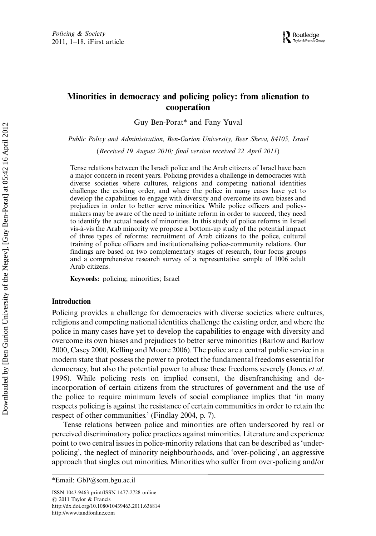## Minorities in democracy and policing policy: from alienation to cooperation

Guy Ben-Porat\* and Fany Yuval

Public Policy and Administration, Ben-Gurion University, Beer Sheva, 84105, Israel

(Received 19 August 2010; final version received 22 April 2011)

Tense relations between the Israeli police and the Arab citizens of Israel have been a major concern in recent years. Policing provides a challenge in democracies with diverse societies where cultures, religions and competing national identities challenge the existing order, and where the police in many cases have yet to develop the capabilities to engage with diversity and overcome its own biases and prejudices in order to better serve minorities. While police officers and policymakers may be aware of the need to initiate reform in order to succeed, they need to identify the actual needs of minorities. In this study of police reforms in Israel vis-a`-vis the Arab minority we propose a bottom-up study of the potential impact of three types of reforms: recruitment of Arab citizens to the police, cultural training of police officers and institutionalising police-community relations. Our findings are based on two complementary stages of research, four focus groups and a comprehensive research survey of a representative sample of 1006 adult Arab citizens.

Keywords: policing; minorities; Israel

#### Introduction

Policing provides a challenge for democracies with diverse societies where cultures, religions and competing national identities challenge the existing order, and where the police in many cases have yet to develop the capabilities to engage with diversity and overcome its own biases and prejudices to better serve minorities (Barlow and Barlow 2000, Casey 2000, Kelling and Moore 2006). The police are a central public service in a modern state that possess the power to protect the fundamental freedoms essential for democracy, but also the potential power to abuse these freedoms severely (Jones et al. 1996). While policing rests on implied consent, the disenfranchising and deincorporation of certain citizens from the structures of government and the use of the police to require minimum levels of social compliance implies that 'in many respects policing is against the resistance of certain communities in order to retain the respect of other communities.' (Findlay 2004, p. 7).

Tense relations between police and minorities are often underscored by real or perceived discriminatory police practices against minorities. Literature and experience point to two central issues in police-minority relations that can be described as 'underpolicing', the neglect of minority neighbourhoods, and 'over-policing', an aggressive approach that singles out minorities. Minorities who suffer from over-policing and/or

ISSN 1043-9463 print/ISSN 1477-2728 online  $\odot$  2011 Taylor & Francis <http://dx.doi.org/10.1080/10439463.2011.636814> <http://www.tandfonline.com>

<sup>\*</sup>Email: GbP@som.bgu.ac.il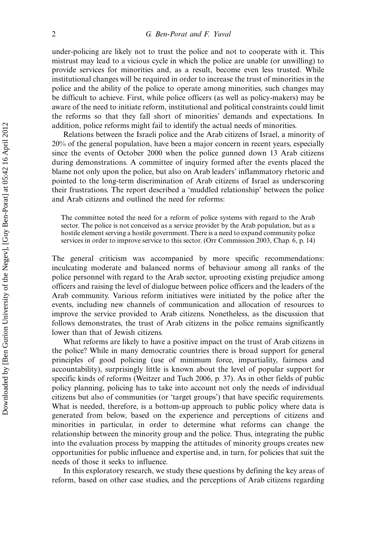under-policing are likely not to trust the police and not to cooperate with it. This mistrust may lead to a vicious cycle in which the police are unable (or unwilling) to provide services for minorities and, as a result, become even less trusted. While institutional changes will be required in order to increase the trust of minorities in the police and the ability of the police to operate among minorities, such changes may be difficult to achieve. First, while police officers (as well as policy-makers) may be aware of the need to initiate reform, institutional and political constraints could limit the reforms so that they fall short of minorities' demands and expectations. In addition, police reforms might fail to identify the actual needs of minorities.

Relations between the Israeli police and the Arab citizens of Israel, a minority of 20% of the general population, have been a major concern in recent years, especially since the events of October 2000 when the police gunned down 13 Arab citizens during demonstrations. A committee of inquiry formed after the events placed the blame not only upon the police, but also on Arab leaders' inflammatory rhetoric and pointed to the long-term discrimination of Arab citizens of Israel as underscoring their frustrations. The report described a 'muddled relationship' between the police and Arab citizens and outlined the need for reforms:

The committee noted the need for a reform of police systems with regard to the Arab sector. The police is not conceived as a service provider by the Arab population, but as a hostile element serving a hostile government. There is a need to expand community police services in order to improve service to this sector. (Orr Commission 2003, Chap. 6, p. 14)

The general criticism was accompanied by more specific recommendations: inculcating moderate and balanced norms of behaviour among all ranks of the police personnel with regard to the Arab sector, uprooting existing prejudice among officers and raising the level of dialogue between police officers and the leaders of the Arab community. Various reform initiatives were initiated by the police after the events, including new channels of communication and allocation of resources to improve the service provided to Arab citizens. Nonetheless, as the discussion that follows demonstrates, the trust of Arab citizens in the police remains significantly lower than that of Jewish citizens.

What reforms are likely to have a positive impact on the trust of Arab citizens in the police? While in many democratic countries there is broad support for general principles of good policing (use of minimum force, impartiality, fairness and accountability), surprisingly little is known about the level of popular support for specific kinds of reforms (Weitzer and Tuch 2006, p. 37). As in other fields of public policy planning, policing has to take into account not only the needs of individual citizens but also of communities (or 'target groups') that have specific requirements. What is needed, therefore, is a bottom-up approach to public policy where data is generated from below, based on the experience and perceptions of citizens and minorities in particular, in order to determine what reforms can change the relationship between the minority group and the police. Thus, integrating the public into the evaluation process by mapping the attitudes of minority groups creates new opportunities for public influence and expertise and, in turn, for policies that suit the needs of those it seeks to influence.

In this exploratory research, we study these questions by defining the key areas of reform, based on other case studies, and the perceptions of Arab citizens regarding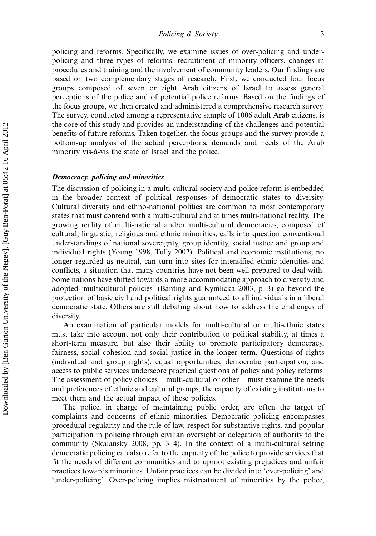policing and reforms. Specifically, we examine issues of over-policing and underpolicing and three types of reforms: recruitment of minority officers, changes in procedures and training and the involvement of community leaders. Our findings are based on two complementary stages of research. First, we conducted four focus groups composed of seven or eight Arab citizens of Israel to assess general perceptions of the police and of potential police reforms. Based on the findings of the focus groups, we then created and administered a comprehensive research survey. The survey, conducted among a representative sample of 1006 adult Arab citizens, is the core of this study and provides an understanding of the challenges and potential benefits of future reforms. Taken together, the focus groups and the survey provide a bottom-up analysis of the actual perceptions, demands and needs of the Arab minority vis-à-vis the state of Israel and the police.

#### Democracy, policing and minorities

The discussion of policing in a multi-cultural society and police reform is embedded in the broader context of political responses of democratic states to diversity. Cultural diversity and ethno-national politics are common to most contemporary states that must contend with a multi-cultural and at times multi-national reality. The growing reality of multi-national and/or multi-cultural democracies, composed of cultural, linguistic, religious and ethnic minorities, calls into question conventional understandings of national sovereignty, group identity, social justice and group and individual rights (Young 1998, Tully 2002). Political and economic institutions, no longer regarded as neutral, can turn into sites for intensified ethnic identities and conflicts, a situation that many countries have not been well prepared to deal with. Some nations have shifted towards a more accommodating approach to diversity and adopted 'multicultural policies' (Banting and Kymlicka 2003, p. 3) go beyond the protection of basic civil and political rights guaranteed to all individuals in a liberal democratic state. Others are still debating about how to address the challenges of diversity.

An examination of particular models for multi-cultural or multi-ethnic states must take into account not only their contribution to political stability, at times a short-term measure, but also their ability to promote participatory democracy, fairness, social cohesion and social justice in the longer term. Questions of rights (individual and group rights), equal opportunities, democratic participation, and access to public services underscore practical questions of policy and policy reforms. The assessment of policy choices  $-$  multi-cultural or other  $-$  must examine the needs and preferences of ethnic and cultural groups, the capacity of existing institutions to meet them and the actual impact of these policies.

The police, in charge of maintaining public order, are often the target of complaints and concerns of ethnic minorities. Democratic policing encompasses procedural regularity and the rule of law, respect for substantive rights, and popular participation in policing through civilian oversight or delegation of authority to the community (Skalansky 2008, pp. 34). In the context of a multi-cultural setting democratic policing can also refer to the capacity of the police to provide services that fit the needs of different communities and to uproot existing prejudices and unfair practices towards minorities. Unfair practices can be divided into 'over-policing' and 'under-policing'. Over-policing implies mistreatment of minorities by the police,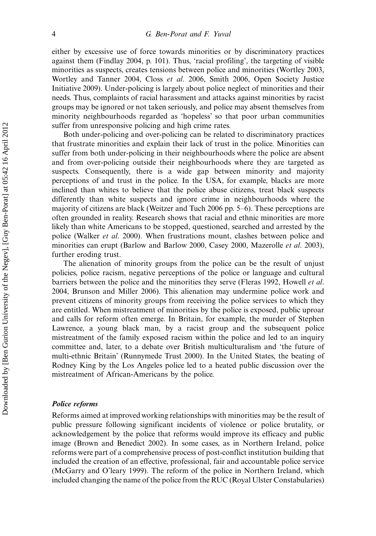either by excessive use of force towards minorities or by discriminatory practices against them (Findlay 2004, p. 101). Thus, 'racial profiling', the targeting of visible minorities as suspects, creates tensions between police and minorities (Wortley 2003, Wortley and Tanner 2004, Closs et al. 2006, Smith 2006, Open Society Justice Initiative 2009). Under-policing is largely about police neglect of minorities and their needs. Thus, complaints of racial harassment and attacks against minorities by racist groups may be ignored or not taken seriously, and police may absent themselves from minority neighbourhoods regarded as 'hopeless' so that poor urban communities suffer from unresponsive policing and high crime rates.

Both under-policing and over-policing can be related to discriminatory practices that frustrate minorities and explain their lack of trust in the police. Minorities can suffer from both under-policing in their neighbourhoods where the police are absent and from over-policing outside their neighbourhoods where they are targeted as suspects. Consequently, there is a wide gap between minority and majority perceptions of and trust in the police. In the USA, for example, blacks are more inclined than whites to believe that the police abuse citizens, treat black suspects differently than white suspects and ignore crime in neighbourhoods where the majority of citizens are black (Weitzer and Tuch  $2006$  pp.  $5-6$ ). These perceptions are often grounded in reality. Research shows that racial and ethnic minorities are more likely than white Americans to be stopped, questioned, searched and arrested by the police (Walker et al. 2000). When frustrations mount, clashes between police and minorities can erupt (Barlow and Barlow 2000, Casey 2000, Mazerolle et al. 2003), further eroding trust.

The alienation of minority groups from the police can be the result of unjust policies, police racism, negative perceptions of the police or language and cultural barriers between the police and the minorities they serve (Fleras 1992, Howell et al. 2004, Brunson and Miller 2006). This alienation may undermine police work and prevent citizens of minority groups from receiving the police services to which they are entitled. When mistreatment of minorities by the police is exposed, public uproar and calls for reform often emerge. In Britain, for example, the murder of Stephen Lawrence, a young black man, by a racist group and the subsequent police mistreatment of the family exposed racism within the police and led to an inquiry committee and, later, to a debate over British multiculturalism and 'the future of multi-ethnic Britain' (Runnymede Trust 2000). In the United States, the beating of Rodney King by the Los Angeles police led to a heated public discussion over the mistreatment of African-Americans by the police.

#### Police reforms

Reforms aimed at improved working relationships with minorities may be the result of public pressure following significant incidents of violence or police brutality, or acknowledgement by the police that reforms would improve its efficacy and public image (Brown and Benedict 2002). In some cases, as in Northern Ireland, police reforms were part of a comprehensive process of post-conflict institution building that included the creation of an effective, professional, fair and accountable police service (McGarry and O'leary 1999). The reform of the police in Northern Ireland, which included changing the name of the police from the RUC (Royal Ulster Constabularies)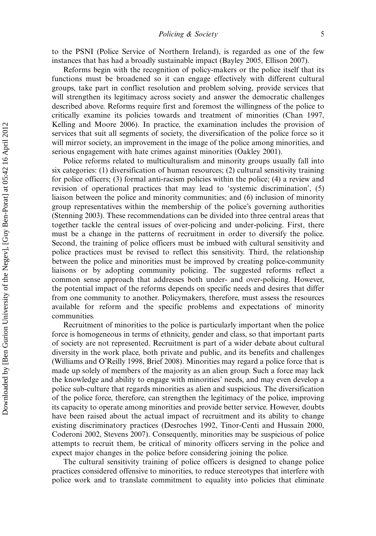to the PSNI (Police Service of Northern Ireland), is regarded as one of the few instances that has had a broadly sustainable impact (Bayley 2005, Ellison 2007).

Reforms begin with the recognition of policy-makers or the police itself that its functions must be broadened so it can engage effectively with different cultural groups, take part in conflict resolution and problem solving, provide services that will strengthen its legitimacy across society and answer the democratic challenges described above. Reforms require first and foremost the willingness of the police to critically examine its policies towards and treatment of minorities (Chan 1997, Kelling and Moore 2006). In practice, the examination includes the provision of services that suit all segments of society, the diversification of the police force so it will mirror society, an improvement in the image of the police among minorities, and serious engagement with hate crimes against minorities (Oakley 2001).

Police reforms related to multiculturalism and minority groups usually fall into six categories: (1) diversification of human resources; (2) cultural sensitivity training for police officers; (3) formal anti-racism policies within the police; (4) a review and revision of operational practices that may lead to 'systemic discrimination', (5) liaison between the police and minority communities; and (6) inclusion of minority group representatives within the membership of the police's governing authorities (Stenning 2003). These recommendations can be divided into three central areas that together tackle the central issues of over-policing and under-policing. First, there must be a change in the patterns of recruitment in order to diversify the police. Second, the training of police officers must be imbued with cultural sensitivity and police practices must be revised to reflect this sensitivity. Third, the relationship between the police and minorities must be improved by creating police-community liaisons or by adopting community policing. The suggested reforms reflect a common sense approach that addresses both under- and over-policing. However, the potential impact of the reforms depends on specific needs and desires that differ from one community to another. Policymakers, therefore, must assess the resources available for reform and the specific problems and expectations of minority communities.

Recruitment of minorities to the police is particularly important when the police force is homogeneous in terms of ethnicity, gender and class, so that important parts of society are not represented. Recruitment is part of a wider debate about cultural diversity in the work place, both private and public, and its benefits and challenges (Williams and O'Reilly 1998, Brief 2008). Minorities may regard a police force that is made up solely of members of the majority as an alien group. Such a force may lack the knowledge and ability to engage with minorities' needs, and may even develop a police sub-culture that regards minorities as alien and suspicious. The diversification of the police force, therefore, can strengthen the legitimacy of the police, improving its capacity to operate among minorities and provide better service. However, doubts have been raised about the actual impact of recruitment and its ability to change existing discriminatory practices (Desroches 1992, Tinor-Centi and Hussain 2000, Coderoni 2002, Stevens 2007). Consequently, minorities may be suspicious of police attempts to recruit them, be critical of minority officers serving in the police and expect major changes in the police before considering joining the police.

The cultural sensitivity training of police officers is designed to change police practices considered offensive to minorities, to reduce stereotypes that interfere with police work and to translate commitment to equality into policies that eliminate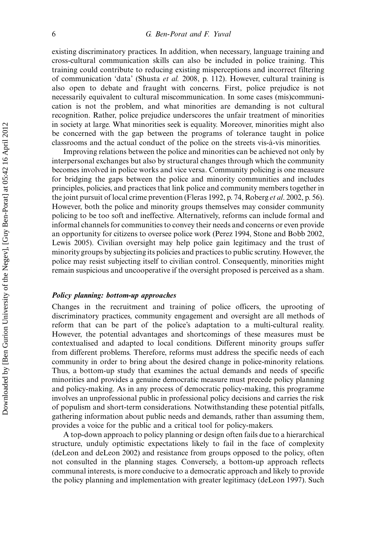existing discriminatory practices. In addition, when necessary, language training and cross-cultural communication skills can also be included in police training. This training could contribute to reducing existing misperceptions and incorrect filtering of communication 'data' (Shusta et al. 2008, p. 112). However, cultural training is also open to debate and fraught with concerns. First, police prejudice is not necessarily equivalent to cultural miscommunication. In some cases (mis)communication is not the problem, and what minorities are demanding is not cultural recognition. Rather, police prejudice underscores the unfair treatment of minorities in society at large. What minorities seek is equality. Moreover, minorities might also be concerned with the gap between the programs of tolerance taught in police classrooms and the actual conduct of the police on the streets vis-a`-vis minorities.

Improving relations between the police and minorities can be achieved not only by interpersonal exchanges but also by structural changes through which the community becomes involved in police works and vice versa. Community policing is one measure for bridging the gaps between the police and minority communities and includes principles, policies, and practices that link police and community members together in the joint pursuit of local crime prevention (Fleras 1992, p. 74, Roberg et al. 2002, p. 56). However, both the police and minority groups themselves may consider community policing to be too soft and ineffective. Alternatively, reforms can include formal and informal channels for communities to convey their needs and concerns or even provide an opportunity for citizens to oversee police work (Perez 1994, Stone and Bobb 2002, Lewis 2005). Civilian oversight may help police gain legitimacy and the trust of minority groups by subjecting its policies and practices to public scrutiny. However, the police may resist subjecting itself to civilian control. Consequently, minorities might remain suspicious and uncooperative if the oversight proposed is perceived as a sham.

### Policy planning: bottom-up approaches

Changes in the recruitment and training of police officers, the uprooting of discriminatory practices, community engagement and oversight are all methods of reform that can be part of the police's adaptation to a multi-cultural reality. However, the potential advantages and shortcomings of these measures must be contextualised and adapted to local conditions. Different minority groups suffer from different problems. Therefore, reforms must address the specific needs of each community in order to bring about the desired change in police-minority relations. Thus, a bottom-up study that examines the actual demands and needs of specific minorities and provides a genuine democratic measure must precede policy planning and policy-making. As in any process of democratic policy-making, this programme involves an unprofessional public in professional policy decisions and carries the risk of populism and short-term considerations. Notwithstanding these potential pitfalls, gathering information about public needs and demands, rather than assuming them, provides a voice for the public and a critical tool for policy-makers.

A top-down approach to policy planning or design often fails due to a hierarchical structure, unduly optimistic expectations likely to fail in the face of complexity (deLeon and deLeon 2002) and resistance from groups opposed to the policy, often not consulted in the planning stages. Conversely, a bottom-up approach reflects communal interests, is more conducive to a democratic approach and likely to provide the policy planning and implementation with greater legitimacy (deLeon 1997). Such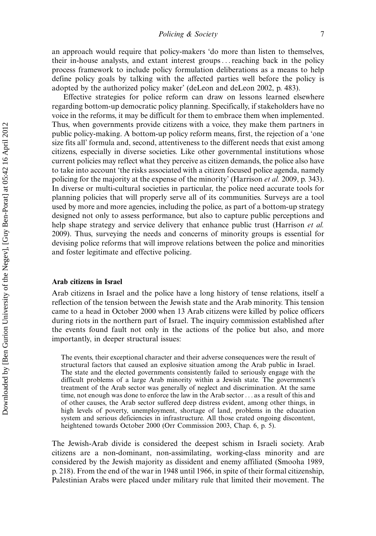an approach would require that policy-makers 'do more than listen to themselves, their in-house analysts, and extant interest groups...reaching back in the policy process framework to include policy formulation deliberations as a means to help define policy goals by talking with the affected parties well before the policy is adopted by the authorized policy maker' (deLeon and deLeon 2002, p. 483).

Effective strategies for police reform can draw on lessons learned elsewhere regarding bottom-up democratic policy planning. Specifically, if stakeholders have no voice in the reforms, it may be difficult for them to embrace them when implemented. Thus, when governments provide citizens with a voice, they make them partners in public policy-making. A bottom-up policy reform means, first, the rejection of a 'one size fits all' formula and, second, attentiveness to the different needs that exist among citizens, especially in diverse societies. Like other governmental institutions whose current policies may reflect what they perceive as citizen demands, the police also have to take into account 'the risks associated with a citizen focused police agenda, namely policing for the majority at the expense of the minority' (Harrison et al. 2009, p. 343). In diverse or multi-cultural societies in particular, the police need accurate tools for planning policies that will properly serve all of its communities. Surveys are a tool used by more and more agencies, including the police, as part of a bottom-up strategy designed not only to assess performance, but also to capture public perceptions and help shape strategy and service delivery that enhance public trust (Harrison et al. 2009). Thus, surveying the needs and concerns of minority groups is essential for devising police reforms that will improve relations between the police and minorities and foster legitimate and effective policing.

#### Arab citizens in Israel

Arab citizens in Israel and the police have a long history of tense relations, itself a reflection of the tension between the Jewish state and the Arab minority. This tension came to a head in October 2000 when 13 Arab citizens were killed by police officers during riots in the northern part of Israel. The inquiry commission established after the events found fault not only in the actions of the police but also, and more importantly, in deeper structural issues:

The events, their exceptional character and their adverse consequences were the result of structural factors that caused an explosive situation among the Arab public in Israel. The state and the elected governments consistently failed to seriously engage with the difficult problems of a large Arab minority within a Jewish state. The government's treatment of the Arab sector was generally of neglect and discrimination. At the same time, not enough was done to enforce the law in the Arab sector... as a result of this and of other causes, the Arab sector suffered deep distress evident, among other things, in high levels of poverty, unemployment, shortage of land, problems in the education system and serious deficiencies in infrastructure. All those crated ongoing discontent, heightened towards October 2000 (Orr Commission 2003, Chap. 6, p. 5).

The Jewish-Arab divide is considered the deepest schism in Israeli society. Arab citizens are a non-dominant, non-assimilating, working-class minority and are considered by the Jewish majority as dissident and enemy affiliated (Smooha 1989, p. 218). From the end of the war in 1948 until 1966, in spite of their formal citizenship, Palestinian Arabs were placed under military rule that limited their movement. The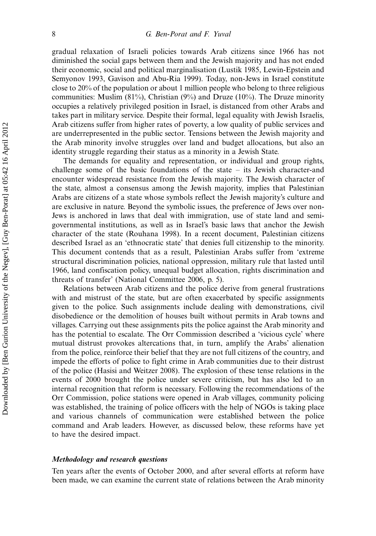gradual relaxation of Israeli policies towards Arab citizens since 1966 has not diminished the social gaps between them and the Jewish majority and has not ended their economic, social and political marginalisation (Lustik 1985, Lewin-Epstein and Semyonov 1993, Gavison and Abu-Ria 1999). Today, non-Jews in Israel constitute close to 20% of the population or about 1 million people who belong to three religious communities: Muslim (81%), Christian (9%) and Druze (10%). The Druze minority occupies a relatively privileged position in Israel, is distanced from other Arabs and takes part in military service. Despite their formal, legal equality with Jewish Israelis, Arab citizens suffer from higher rates of poverty, a low quality of public services and are underrepresented in the public sector. Tensions between the Jewish majority and the Arab minority involve struggles over land and budget allocations, but also an identity struggle regarding their status as a minority in a Jewish State.

The demands for equality and representation, or individual and group rights, challenge some of the basic foundations of the state  $-$  its Jewish character-and encounter widespread resistance from the Jewish majority. The Jewish character of the state, almost a consensus among the Jewish majority, implies that Palestinian Arabs are citizens of a state whose symbols reflect the Jewish majority's culture and are exclusive in nature. Beyond the symbolic issues, the preference of Jews over non-Jews is anchored in laws that deal with immigration, use of state land and semigovernmental institutions, as well as in Israel's basic laws that anchor the Jewish character of the state (Rouhana 1998). In a recent document, Palestinian citizens described Israel as an 'ethnocratic state' that denies full citizenship to the minority. This document contends that as a result, Palestinian Arabs suffer from 'extreme structural discrimination policies, national oppression, military rule that lasted until 1966, land confiscation policy, unequal budget allocation, rights discrimination and threats of transfer' (National Committee 2006, p. 5).

Relations between Arab citizens and the police derive from general frustrations with and mistrust of the state, but are often exacerbated by specific assignments given to the police. Such assignments include dealing with demonstrations, civil disobedience or the demolition of houses built without permits in Arab towns and villages. Carrying out these assignments pits the police against the Arab minority and has the potential to escalate. The Orr Commission described a 'vicious cycle' where mutual distrust provokes altercations that, in turn, amplify the Arabs' alienation from the police, reinforce their belief that they are not full citizens of the country, and impede the efforts of police to fight crime in Arab communities due to their distrust of the police (Hasisi and Weitzer 2008). The explosion of these tense relations in the events of 2000 brought the police under severe criticism, but has also led to an internal recognition that reform is necessary. Following the recommendations of the Orr Commission, police stations were opened in Arab villages, community policing was established, the training of police officers with the help of NGOs is taking place and various channels of communication were established between the police command and Arab leaders. However, as discussed below, these reforms have yet to have the desired impact.

#### Methodology and research questions

Ten years after the events of October 2000, and after several efforts at reform have been made, we can examine the current state of relations between the Arab minority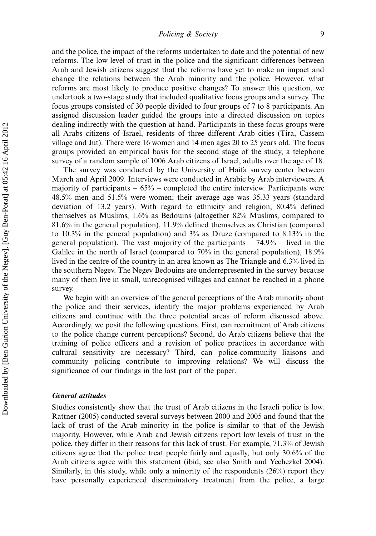and the police, the impact of the reforms undertaken to date and the potential of new reforms. The low level of trust in the police and the significant differences between Arab and Jewish citizens suggest that the reforms have yet to make an impact and change the relations between the Arab minority and the police. However, what reforms are most likely to produce positive changes? To answer this question, we undertook a two-stage study that included qualitative focus groups and a survey. The focus groups consisted of 30 people divided to four groups of 7 to 8 participants. An assigned discussion leader guided the groups into a directed discussion on topics dealing indirectly with the question at hand. Participants in these focus groups were all Arabs citizens of Israel, residents of three different Arab cities (Tira, Cassem village and Jut). There were 16 women and 14 men ages 20 to 25 years old. The focus groups provided an empirical basis for the second stage of the study, a telephone survey of a random sample of 1006 Arab citizens of Israel, adults over the age of 18.

The survey was conducted by the University of Haifa survey center between March and April 2009. Interviews were conducted in Arabic by Arab interviewers. A majority of participants  $-65%$   $-$  completed the entire interview. Participants were 48.5% men and 51.5% were women; their average age was 35.33 years (standard deviation of 13.2 years). With regard to ethnicity and religion, 80.4% defined themselves as Muslims, 1.6% as Bedouins (altogether 82% Muslims, compared to 81.6% in the general population), 11.9% defined themselves as Christian (compared to 10.3% in the general population) and 3% as Druze (compared to 8.13% in the general population). The vast majority of the participants  $-74.9%$  – lived in the Galilee in the north of Israel (compared to 70% in the general population), 18.9% lived in the centre of the country in an area known as The Triangle and 6.3% lived in the southern Negev. The Negev Bedouins are underrepresented in the survey because many of them live in small, unrecognised villages and cannot be reached in a phone survey.

We begin with an overview of the general perceptions of the Arab minority about the police and their services, identify the major problems experienced by Arab citizens and continue with the three potential areas of reform discussed above. Accordingly, we posit the following questions. First, can recruitment of Arab citizens to the police change current perceptions? Second, do Arab citizens believe that the training of police officers and a revision of police practices in accordance with cultural sensitivity are necessary? Third, can police-community liaisons and community policing contribute to improving relations? We will discuss the significance of our findings in the last part of the paper.

#### General attitudes

Studies consistently show that the trust of Arab citizens in the Israeli police is low. Rattner (2005) conducted several surveys between 2000 and 2005 and found that the lack of trust of the Arab minority in the police is similar to that of the Jewish majority. However, while Arab and Jewish citizens report low levels of trust in the police, they differ in their reasons for this lack of trust. For example, 71.3% of Jewish citizens agree that the police treat people fairly and equally, but only 30.6% of the Arab citizens agree with this statement (ibid, see also Smith and Yechezkel 2004). Similarly, in this study, while only a minority of the respondents (26%) report they have personally experienced discriminatory treatment from the police, a large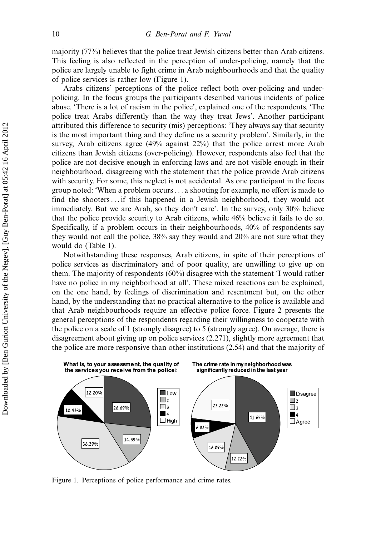majority (77%) believes that the police treat Jewish citizens better than Arab citizens. This feeling is also reflected in the perception of under-policing, namely that the police are largely unable to fight crime in Arab neighbourhoods and that the quality of police services is rather low (Figure 1).

Arabs citizens' perceptions of the police reflect both over-policing and underpolicing. In the focus groups the participants described various incidents of police abuse. 'There is a lot of racism in the police', explained one of the respondents. 'The police treat Arabs differently than the way they treat Jews'. Another participant attributed this difference to security (mis) perceptions: 'They always say that security is the most important thing and they define us a security problem'. Similarly, in the survey, Arab citizens agree (49% against 22%) that the police arrest more Arab citizens than Jewish citizens (over-policing). However, respondents also feel that the police are not decisive enough in enforcing laws and are not visible enough in their neighbourhood, disagreeing with the statement that the police provide Arab citizens with security. For some, this neglect is not accidental. As one participant in the focus group noted: 'When a problem occurs... a shooting for example, no effort is made to find the shooters... if this happened in a Jewish neighborhood, they would act immediately. But we are Arab, so they don't care'. In the survey, only 30% believe that the police provide security to Arab citizens, while 46% believe it fails to do so. Specifically, if a problem occurs in their neighbourhoods, 40% of respondents say they would not call the police, 38% say they would and 20% are not sure what they would do (Table 1).

Notwithstanding these responses, Arab citizens, in spite of their perceptions of police services as discriminatory and of poor quality, are unwilling to give up on them. The majority of respondents (60%) disagree with the statement 'I would rather have no police in my neighborhood at all'. These mixed reactions can be explained, on the one hand, by feelings of discrimination and resentment but, on the other hand, by the understanding that no practical alternative to the police is available and that Arab neighbourhoods require an effective police force. Figure 2 presents the general perceptions of the respondents regarding their willingness to cooperate with the police on a scale of 1 (strongly disagree) to 5 (strongly agree). On average, there is disagreement about giving up on police services (2.271), slightly more agreement that the police are more responsive than other institutions (2.54) and that the majority of



Figure 1. Perceptions of police performance and crime rates.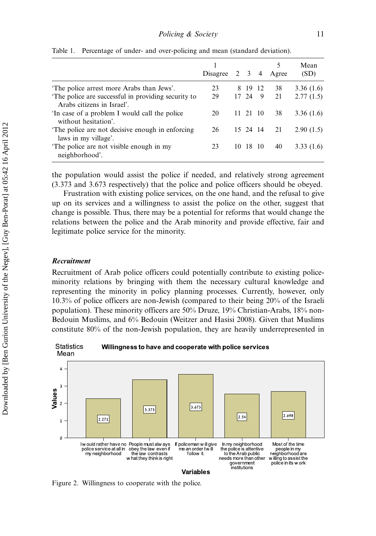|                                                                                  | Disagree 2 3 4 |          |     | 5<br>Agree | Mean<br>(SD) |
|----------------------------------------------------------------------------------|----------------|----------|-----|------------|--------------|
| The police arrest more Arabs than Jews'.                                         | 23             | 8 19 12  |     | 38         | 3.36(1.6)    |
| The police are successful in providing security to<br>Arabs citizens in Israel'. | 29             | 17 24    | 9   | 21         | 2.77(1.5)    |
| In case of a problem I would call the police<br>without hesitation'.             | 20             | 11 21 10 |     | 38         | 3.36(1.6)    |
| The police are not decisive enough in enforcing<br>laws in my village'.          | 26             | 15 24 14 |     | 21         | 2.90(1.5)    |
| The police are not visible enough in my<br>neighborhood'.                        | 23             | 10 18    | -10 | 40         | 3.33(1.6)    |

Table 1. Percentage of under- and over-policing and mean (standard deviation).

the population would assist the police if needed, and relatively strong agreement (3.373 and 3.673 respectively) that the police and police officers should be obeyed.

Frustration with existing police services, on the one hand, and the refusal to give up on its services and a willingness to assist the police on the other, suggest that change is possible. Thus, there may be a potential for reforms that would change the relations between the police and the Arab minority and provide effective, fair and legitimate police service for the minority.

### Recruitment

Recruitment of Arab police officers could potentially contribute to existing policeminority relations by bringing with them the necessary cultural knowledge and representing the minority in policy planning processes. Currently, however, only 10.3% of police officers are non-Jewish (compared to their being 20% of the Israeli population). These minority officers are 50% Druze, 19% Christian-Arabs, 18% non-Bedouin Muslims, and 6% Bedouin (Weitzer and Hasisi 2008). Given that Muslims constitute 80% of the non-Jewish population, they are heavily underrepresented in



Figure 2. Willingness to cooperate with the police.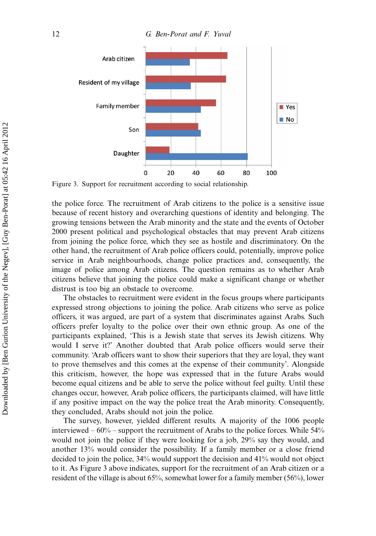

Figure 3. Support for recruitment according to social relationship.

the police force. The recruitment of Arab citizens to the police is a sensitive issue because of recent history and overarching questions of identity and belonging. The growing tensions between the Arab minority and the state and the events of October 2000 present political and psychological obstacles that may prevent Arab citizens from joining the police force, which they see as hostile and discriminatory. On the other hand, the recruitment of Arab police officers could, potentially, improve police service in Arab neighbourhoods, change police practices and, consequently, the image of police among Arab citizens. The question remains as to whether Arab citizens believe that joining the police could make a significant change or whether distrust is too big an obstacle to overcome.

The obstacles to recruitment were evident in the focus groups where participants expressed strong objections to joining the police. Arab citizens who serve as police officers, it was argued, are part of a system that discriminates against Arabs. Such officers prefer loyalty to the police over their own ethnic group. As one of the participants explained, 'This is a Jewish state that serves its Jewish citizens. Why would I serve it?' Another doubted that Arab police officers would serve their community. 'Arab officers want to show their superiors that they are loyal, they want to prove themselves and this comes at the expense of their community'. Alongside this criticism, however, the hope was expressed that in the future Arabs would become equal citizens and be able to serve the police without feel guilty. Until these changes occur, however, Arab police officers, the participants claimed, will have little if any positive impact on the way the police treat the Arab minority. Consequently, they concluded, Arabs should not join the police.

The survey, however, yielded different results. A majority of the 1006 people interviewed  $-60\%$  – support the recruitment of Arabs to the police forces. While 54% would not join the police if they were looking for a job, 29% say they would, and another 13% would consider the possibility. If a family member or a close friend decided to join the police, 34% would support the decision and 41% would not object to it. As Figure 3 above indicates, support for the recruitment of an Arab citizen or a resident of the village is about 65%, somewhat lower for a family member (56%), lower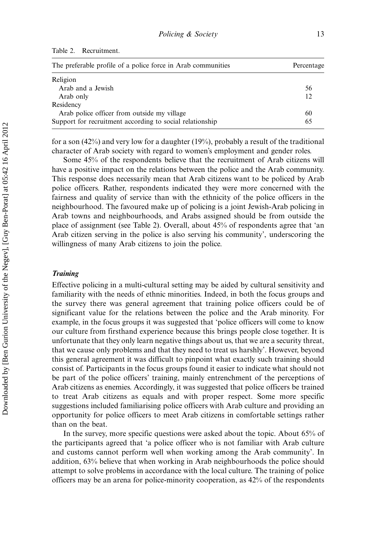| Table 2. | Recruitment. |
|----------|--------------|
|          |              |

| The preferable profile of a police force in Arab communities | Percentage |  |
|--------------------------------------------------------------|------------|--|
| Religion                                                     |            |  |
| Arab and a Jewish                                            | 56         |  |
| Arab only                                                    | 12         |  |
| Residency                                                    |            |  |
| Arab police officer from outside my village                  | 60         |  |
| Support for recruitment according to social relationship     | 65         |  |

for a son  $(42%)$  and very low for a daughter  $(19%)$ , probably a result of the traditional character of Arab society with regard to women's employment and gender roles.

Some 45% of the respondents believe that the recruitment of Arab citizens will have a positive impact on the relations between the police and the Arab community. This response does necessarily mean that Arab citizens want to be policed by Arab police officers. Rather, respondents indicated they were more concerned with the fairness and quality of service than with the ethnicity of the police officers in the neighbourhood. The favoured make up of policing is a joint Jewish-Arab policing in Arab towns and neighbourhoods, and Arabs assigned should be from outside the place of assignment (see Table 2). Overall, about 45% of respondents agree that 'an Arab citizen serving in the police is also serving his community', underscoring the willingness of many Arab citizens to join the police.

#### **Training**

Effective policing in a multi-cultural setting may be aided by cultural sensitivity and familiarity with the needs of ethnic minorities. Indeed, in both the focus groups and the survey there was general agreement that training police officers could be of significant value for the relations between the police and the Arab minority. For example, in the focus groups it was suggested that 'police officers will come to know our culture from firsthand experience because this brings people close together. It is unfortunate that they only learn negative things about us, that we are a security threat, that we cause only problems and that they need to treat us harshly'. However, beyond this general agreement it was difficult to pinpoint what exactly such training should consist of. Participants in the focus groups found it easier to indicate what should not be part of the police officers' training, mainly entrenchment of the perceptions of Arab citizens as enemies. Accordingly, it was suggested that police officers be trained to treat Arab citizens as equals and with proper respect. Some more specific suggestions included familiarising police officers with Arab culture and providing an opportunity for police officers to meet Arab citizens in comfortable settings rather than on the beat.

In the survey, more specific questions were asked about the topic. About 65% of the participants agreed that 'a police officer who is not familiar with Arab culture and customs cannot perform well when working among the Arab community'. In addition, 63% believe that when working in Arab neighbourhoods the police should attempt to solve problems in accordance with the local culture. The training of police officers may be an arena for police-minority cooperation, as 42% of the respondents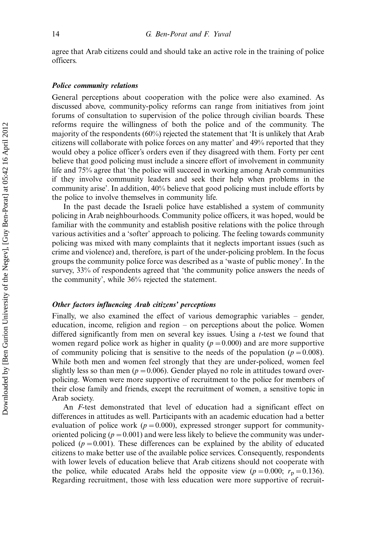agree that Arab citizens could and should take an active role in the training of police officers.

#### Police community relations

General perceptions about cooperation with the police were also examined. As discussed above, community-policy reforms can range from initiatives from joint forums of consultation to supervision of the police through civilian boards. These reforms require the willingness of both the police and of the community. The majority of the respondents (60%) rejected the statement that 'It is unlikely that Arab citizens will collaborate with police forces on any matter' and 49% reported that they would obey a police officer's orders even if they disagreed with them. Forty per cent believe that good policing must include a sincere effort of involvement in community life and 75% agree that 'the police will succeed in working among Arab communities if they involve community leaders and seek their help when problems in the community arise'. In addition, 40% believe that good policing must include efforts by the police to involve themselves in community life.

In the past decade the Israeli police have established a system of community policing in Arab neighbourhoods. Community police officers, it was hoped, would be familiar with the community and establish positive relations with the police through various activities and a 'softer' approach to policing. The feeling towards community policing was mixed with many complaints that it neglects important issues (such as crime and violence) and, therefore, is part of the under-policing problem. In the focus groups the community police force was described as a 'waste of public money'. In the survey, 33% of respondents agreed that 'the community police answers the needs of the community', while 36% rejected the statement.

#### Other factors influencing Arab citizens' perceptions

Finally, we also examined the effect of various demographic variables  $-$  gender, education, income, religion and region  $-$  on perceptions about the police. Women differed significantly from men on several key issues. Using a t-test we found that women regard police work as higher in quality ( $p = 0.000$ ) and are more supportive of community policing that is sensitive to the needs of the population ( $p = 0.008$ ). While both men and women feel strongly that they are under-policed, women feel slightly less so than men ( $p = 0.006$ ). Gender played no role in attitudes toward overpolicing. Women were more supportive of recruitment to the police for members of their close family and friends, except the recruitment of women, a sensitive topic in Arab society.

An F-test demonstrated that level of education had a significant effect on differences in attitudes as well. Participants with an academic education had a better evaluation of police work ( $p = 0.000$ ), expressed stronger support for communityoriented policing ( $p = 0.001$ ) and were less likely to believe the community was underpoliced ( $p = 0.001$ ). These differences can be explained by the ability of educated citizens to make better use of the available police services. Consequently, respondents with lower levels of education believe that Arab citizens should not cooperate with the police, while educated Arabs held the opposite view ( $p = 0.000$ ;  $r_p = 0.136$ ). Regarding recruitment, those with less education were more supportive of recruit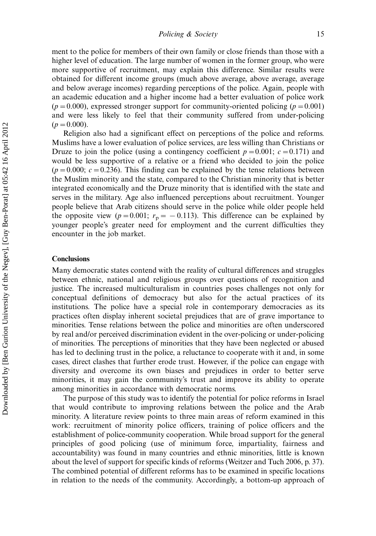ment to the police for members of their own family or close friends than those with a higher level of education. The large number of women in the former group, who were more supportive of recruitment, may explain this difference. Similar results were obtained for different income groups (much above average, above average, average and below average incomes) regarding perceptions of the police. Again, people with an academic education and a higher income had a better evaluation of police work  $(p=0.000)$ , expressed stronger support for community-oriented policing  $(p=0.001)$ and were less likely to feel that their community suffered from under-policing  $(p = 0.000)$ .

Religion also had a significant effect on perceptions of the police and reforms. Muslims have a lower evaluation of police services, are less willing than Christians or Druze to join the police (using a contingency coefficient  $p = 0.001$ ;  $c = 0.171$ ) and would be less supportive of a relative or a friend who decided to join the police  $(p=0.000; c=0.236)$ . This finding can be explained by the tense relations between the Muslim minority and the state, compared to the Christian minority that is better integrated economically and the Druze minority that is identified with the state and serves in the military. Age also influenced perceptions about recruitment. Younger people believe that Arab citizens should serve in the police while older people held the opposite view ( $p = 0.001$ ;  $r_p = -0.113$ ). This difference can be explained by younger people's greater need for employment and the current difficulties they encounter in the job market.

#### **Conclusions**

Many democratic states contend with the reality of cultural differences and struggles between ethnic, national and religious groups over questions of recognition and justice. The increased multiculturalism in countries poses challenges not only for conceptual definitions of democracy but also for the actual practices of its institutions. The police have a special role in contemporary democracies as its practices often display inherent societal prejudices that are of grave importance to minorities. Tense relations between the police and minorities are often underscored by real and/or perceived discrimination evident in the over-policing or under-policing of minorities. The perceptions of minorities that they have been neglected or abused has led to declining trust in the police, a reluctance to cooperate with it and, in some cases, direct clashes that further erode trust. However, if the police can engage with diversity and overcome its own biases and prejudices in order to better serve minorities, it may gain the community's trust and improve its ability to operate among minorities in accordance with democratic norms.

The purpose of this study was to identify the potential for police reforms in Israel that would contribute to improving relations between the police and the Arab minority. A literature review points to three main areas of reform examined in this work: recruitment of minority police officers, training of police officers and the establishment of police-community cooperation. While broad support for the general principles of good policing (use of minimum force, impartiality, fairness and accountability) was found in many countries and ethnic minorities, little is known about the level of support for specific kinds of reforms (Weitzer and Tuch 2006, p. 37). The combined potential of different reforms has to be examined in specific locations in relation to the needs of the community. Accordingly, a bottom-up approach of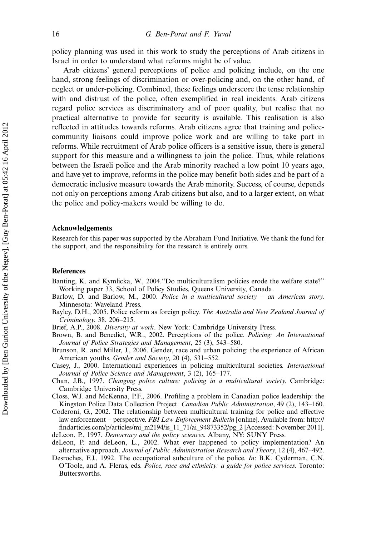policy planning was used in this work to study the perceptions of Arab citizens in Israel in order to understand what reforms might be of value.

Arab citizens' general perceptions of police and policing include, on the one hand, strong feelings of discrimination or over-policing and, on the other hand, of neglect or under-policing. Combined, these feelings underscore the tense relationship with and distrust of the police, often exemplified in real incidents. Arab citizens regard police services as discriminatory and of poor quality, but realise that no practical alternative to provide for security is available. This realisation is also reflected in attitudes towards reforms. Arab citizens agree that training and policecommunity liaisons could improve police work and are willing to take part in reforms. While recruitment of Arab police officers is a sensitive issue, there is general support for this measure and a willingness to join the police. Thus, while relations between the Israeli police and the Arab minority reached a low point 10 years ago, and have yet to improve, reforms in the police may benefit both sides and be part of a democratic inclusive measure towards the Arab minority. Success, of course, depends not only on perceptions among Arab citizens but also, and to a larger extent, on what the police and policy-makers would be willing to do.

#### Acknowledgements

Research for this paper was supported by the Abraham Fund Initiative. We thank the fund for the support, and the responsibility for the research is entirely ours.

#### References

- Banting, K. and Kymlicka, W., 2004.''Do multiculturalism policies erode the welfare state?'' Working paper 33, School of Policy Studies, Queens University, Canada.
- Barlow, D. and Barlow, M., 2000. Police in a multicultural society an American story. Minnesota: Waveland Press.
- Bayley, D.H., 2005. Police reform as foreign policy. The Australia and New Zealand Journal of Criminology,  $38$ ,  $206-215$ .
- Brief, A.P., 2008. Diversity at work. New York: Cambridge University Press.
- Brown, B. and Benedict, W.R., 2002. Perceptions of the police. Policing: An International Journal of Police Strategies and Management, 25 (3), 543-580.
- Brunson, R. and Miller, J., 2006. Gender, race and urban policing: the experience of African American youths. Gender and Society, 20 (4), 531-552.
- Casey, J., 2000. International experiences in policing multicultural societies. International Journal of Police Science and Management, 3 (2), 165-177.
- Chan, J.B., 1997. Changing police culture: policing in a multicultural society. Cambridge: Cambridge University Press.
- Closs, W.J. and McKenna, P.F., 2006. Profiling a problem in Canadian police leadership: the Kingston Police Data Collection Project. Canadian Public Administration, 49 (2), 143-160.
- Coderoni, G., 2002. The relationship between multicultural training for police and effective law enforcement – perspective. FBI Law Enforcement Bulletin [online]. Available from: [http://](http://findarticles.com/p/articles/mi_m2194/is_11_71/ai_94873352/pg_2) [findarticles.com/p/articles/mi\\_m2194/is\\_11\\_71/ai\\_94873352/pg\\_2](http://findarticles.com/p/articles/mi_m2194/is_11_71/ai_94873352/pg_2) [Accessed: November 2011].
- deLeon, P., 1997. Democracy and the policy sciences. Albany, NY: SUNY Press. deLeon, P. and deLeon, L., 2002. What ever happened to policy implementation? An
- alternative approach. Journal of Public Administration Research and Theory, 12 (4), 467-492. Desroches, F.J., 1992. The occupational subculture of the police. In: B.K. Cyderman, C.N.
- O'Toole, and A. Fleras, eds. Police, race and ethnicity: a guide for police services. Toronto: Buttersworths.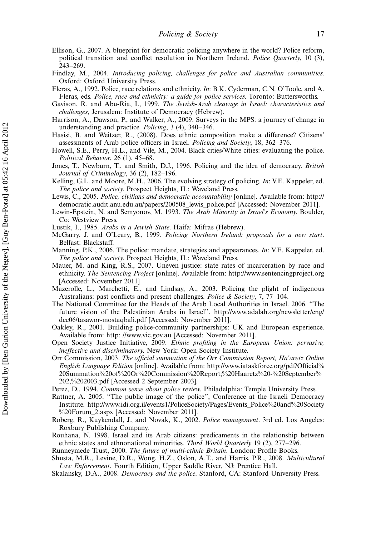- Ellison, G., 2007. A blueprint for democratic policing anywhere in the world? Police reform, political transition and conflict resolution in Northern Ireland. Police Quarterly, 10 (3), 243-269
- Findlay, M., 2004. Introducing policing, challenges for police and Australian communities. Oxford: Oxford University Press.
- Fleras, A., 1992. Police, race relations and ethnicity. In: B.K. Cyderman, C.N. O'Toole, and A. Fleras, eds. Police, race and ethnicity: a guide for police services. Toronto: Buttersworths.
- Gavison, R. and Abu-Ria, I., 1999. The Jewish-Arab cleavage in Israel: characteristics and challenges, Jerusalem: Institute of Democracy (Hebrew).
- Harrison, A., Dawson, P., and Walker, A., 2009. Surveys in the MPS: a journey of change in understanding and practice. Policing,  $3(4)$ ,  $340-346$ .
- Hasisi, B. and Weitzer, R., (2008). Does ethnic composition make a difference? Citizens' assessments of Arab police officers in Israel. Policing and Society, 18, 362-376.
- Howell, S.E., Perry, H.L., and Vile, M., 2004. Black cities/White cities: evaluating the police. Political Behavior,  $26$  (1),  $45-68$ .
- Jones, T., Newburn, T., and Smith, D.J., 1996. Policing and the idea of democracy. British Journal of Criminology, 36 (2), 182-196.
- Kelling, G.L. and Moore, M.H., 2006. The evolving strategy of policing. In: V.E. Kappeler, ed. The police and society. Prospect Heights, IL: Waveland Press.
- Lewis, C., 2005. Police, civilians and democratic accountability [online]. Available from: [http://](http://democratic.audit.anu.edu.au/papers/200508_lewis_police.pdf) [democratic.audit.anu.edu.au/papers/200508\\_lewis\\_police.pdf](http://democratic.audit.anu.edu.au/papers/200508_lewis_police.pdf) [Accessed: November 2011].
- Lewin-Epstein, N. and Semyonov, M. 1993. The Arab Minority in Israel's Economy. Boulder, Co: Westview Press.
- Lustik, I., 1985. Arabs in a Jewish State. Haifa: Mifras (Hebrew).
- McGarry, J. and O'Leary, B., 1999. Policing Northern Ireland: proposals for a new start. Belfast: Blackstaff.
- Manning, P.K., 2006. The police: mandate, strategies and appearances. In: V.E. Kappeler, ed. The police and society. Prospect Heights, IL: Waveland Press.
- Mauer, M. and King, R.S., 2007. Uneven justice: state rates of incarceration by race and ethnicity. The Sentencing Project [online]. Available from:<http://www.sentencingproject.org> [Accessed: November 2011]
- Mazerolle, L., Marchetti, E., and Lindsay, A., 2003. Policing the plight of indigenous Australians: past conflicts and present challenges. Police & Society,  $7, 77-104$ .
- The National Committee for the Heads of the Arab Local Authorities in Israel. 2006. ''The future vision of the Palestinian Arabs in Israel''. [http://www.adalah.org/newsletter/eng/](http://www.adalah.org/newsletter/eng/dec06/tasawor-mostaqbali.pdf) [dec06/tasawor-mostaqbali.pdf](http://www.adalah.org/newsletter/eng/dec06/tasawor-mostaqbali.pdf) [Accessed: November 2011].
- Oakley, R., 2001. Building police-community partnerships: UK and European experience. Available from:<http: //www.vic.gov.au> [Accessed: November 2011].
- Open Society Justice Initiative, 2009. Ethnic profiling in the European Union: pervasive, ineffective and discriminatory. New York: Open Society Institute.
- Orr Commission, 2003. The official summation of the Orr Commission Report, Ha'aretz Online English Language Edition [online]. Available from: [http://www.iataskforce.org/pdf/Official%](http://www.iataskforce.org/pdf/Official%20Summation%20of%20Or%20Commission%20Report;%20Haaretz%20-%20September%202,%202003.pdf) [20Summation%20of%20Or%20Commission%20Report;%20Haaretz%20-%20September%](http://www.iataskforce.org/pdf/Official%20Summation%20of%20Or%20Commission%20Report;%20Haaretz%20-%20September%202,%202003.pdf) [202,%202003.pdf](http://www.iataskforce.org/pdf/Official%20Summation%20of%20Or%20Commission%20Report;%20Haaretz%20-%20September%202,%202003.pdf) [Accessed 2 September 2003].
- Perez, D., 1994. Common sense about police review. Philadelphia: Temple University Press.
- Rattner, A. 2005. ''The public image of the police'', Conference at the Israeli Democracy Institute. [http://www.idi.org.il/events1/PoliceSociety/Pages/Events\\_Police%20and%20Society](http://www.idi.org.il/events1/PoliceSociety/Pages/Events_Police%20and%20Society%20Forum_2.aspx) [%20Forum\\_2.aspx](http://www.idi.org.il/events1/PoliceSociety/Pages/Events_Police%20and%20Society%20Forum_2.aspx) [Accessed: November 2011].
- Roberg, R., Kuykendall, J., and Novak, K., 2002. Police management. 3rd ed. Los Angeles: Roxbury Publishing Company.
- Rouhana, N. 1998. Israel and its Arab citizens: predicaments in the relationship between ethnic states and ethnonational minorities. Third World Quarterly 19 (2), 277-296.
- Runneymede Trust, 2000. The future of multi-ethnic Britain. London: Profile Books.
- Shusta, M.R., Levine, D.R., Wong, H.Z., Oslon, A.T., and Harris, P.R., 2008. Multicultural Law Enforcement, Fourth Edition, Upper Saddle River, NJ: Prentice Hall.
- Skalansky, D.A., 2008. Democracy and the police. Stanford, CA: Stanford University Press.